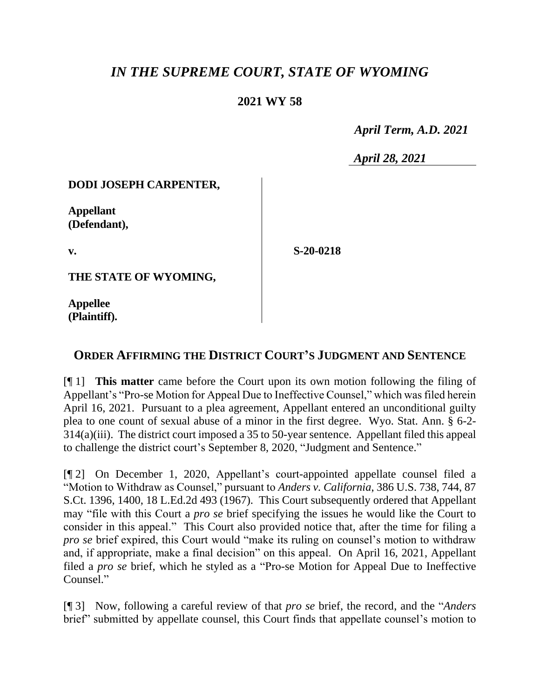# *IN THE SUPREME COURT, STATE OF WYOMING*

### **2021 WY 58**

 *April Term, A.D. 2021*

*April 28, 2021*

#### **DODI JOSEPH CARPENTER,**

**Appellant (Defendant),**

**v.**

**S-20-0218**

**THE STATE OF WYOMING,**

**Appellee (Plaintiff).**

## **ORDER AFFIRMING THE DISTRICT COURT'S JUDGMENT AND SENTENCE**

[¶ 1] **This matter** came before the Court upon its own motion following the filing of Appellant's "Pro-se Motion for Appeal Due to Ineffective Counsel," which was filed herein April 16, 2021. Pursuant to a plea agreement, Appellant entered an unconditional guilty plea to one count of sexual abuse of a minor in the first degree. Wyo. Stat. Ann. § 6-2- 314(a)(iii). The district court imposed a 35 to 50-year sentence. Appellant filed this appeal to challenge the district court's September 8, 2020, "Judgment and Sentence."

[¶ 2] On December 1, 2020, Appellant's court-appointed appellate counsel filed a "Motion to Withdraw as Counsel," pursuant to *Anders v. California*, 386 U.S. 738, 744, 87 S.Ct. 1396, 1400, 18 L.Ed.2d 493 (1967). This Court subsequently ordered that Appellant may "file with this Court a *pro se* brief specifying the issues he would like the Court to consider in this appeal." This Court also provided notice that, after the time for filing a *pro se* brief expired, this Court would "make its ruling on counsel's motion to withdraw and, if appropriate, make a final decision" on this appeal. On April 16, 2021, Appellant filed a *pro se* brief, which he styled as a "Pro-se Motion for Appeal Due to Ineffective Counsel."

[¶ 3] Now, following a careful review of that *pro se* brief, the record, and the "*Anders* brief" submitted by appellate counsel, this Court finds that appellate counsel's motion to